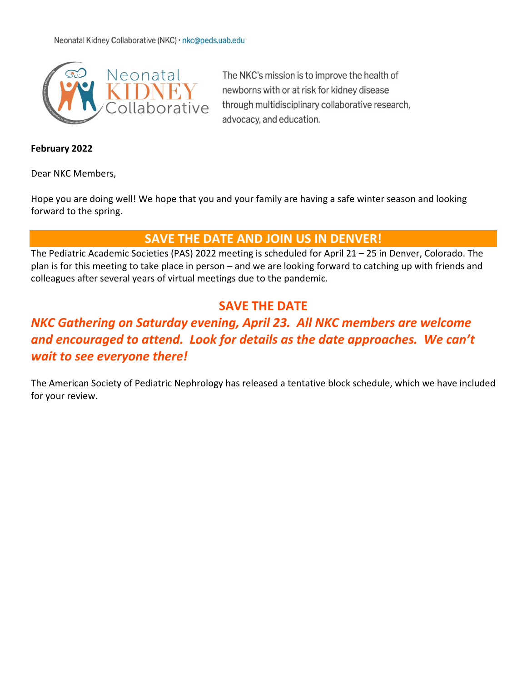

The NKC's mission is to improve the health of newborns with or at risk for kidney disease through multidisciplinary collaborative research, advocacy, and education.

#### **February 2022**

Dear NKC Members,

Hope you are doing well! We hope that you and your family are having a safe winter season and looking forward to the spring.

### **SAVE THE DATE AND JOIN US IN DENVER!**

The Pediatric Academic Societies (PAS) 2022 meeting is scheduled for April 21 – 25 in Denver, Colorado. The plan is for this meeting to take place in person – and we are looking forward to catching up with friends and colleagues after several years of virtual meetings due to the pandemic.

# **SAVE THE DATE**

# *NKC Gathering on Saturday evening, April 23. All NKC members are welcome and encouraged to attend. Look for details as the date approaches. We can't wait to see everyone there!*

The American Society of Pediatric Nephrology has released a tentative block schedule, which we have included for your review.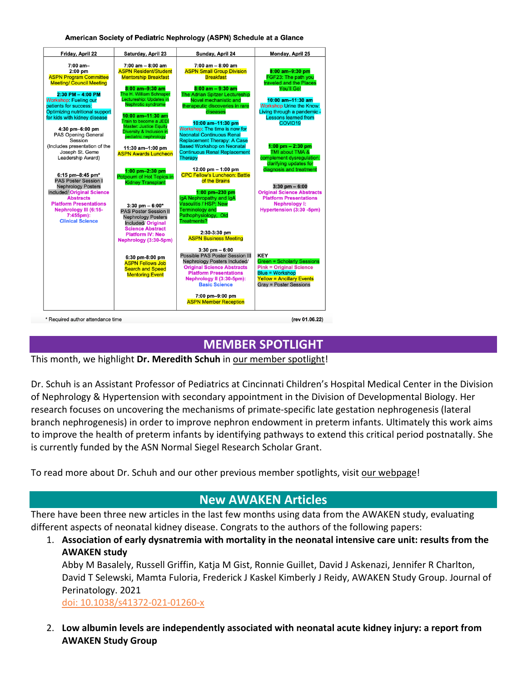American Society of Pediatric Nephrology (ASPN) Schedule at a Glance

| Friday, April 22                                                                                                                                                                                                                                                                                                                                                                                                       | <b>Saturday, April 23</b>                                                                                                                                                                                                                                                                                                                                                                             | Sunday, April 24                                                                                                                                                                                                                                                                                                                                                                                                                                                                                             | Monday, April 25                                                                                                                                                                                                                                                                                                                                           |
|------------------------------------------------------------------------------------------------------------------------------------------------------------------------------------------------------------------------------------------------------------------------------------------------------------------------------------------------------------------------------------------------------------------------|-------------------------------------------------------------------------------------------------------------------------------------------------------------------------------------------------------------------------------------------------------------------------------------------------------------------------------------------------------------------------------------------------------|--------------------------------------------------------------------------------------------------------------------------------------------------------------------------------------------------------------------------------------------------------------------------------------------------------------------------------------------------------------------------------------------------------------------------------------------------------------------------------------------------------------|------------------------------------------------------------------------------------------------------------------------------------------------------------------------------------------------------------------------------------------------------------------------------------------------------------------------------------------------------------|
| $7:00$ am-<br>$2:00$ pm<br><b>ASPN Program Committee</b><br><b>Meeting/ Council Meeting</b><br>$2:30$ PM $-$ 4:00 PM<br><b>Workshop: Fueling our</b><br>patients for success:<br>Optimizing nutritional support<br>for kids with kidney disease<br>4:30 pm-6:00 pm<br><b>PAS Opening General</b><br>Session<br>(Includes presentation of the<br>Joseph St. Geme<br>Leadership Award)<br>$6:15$ pm-8:45 pm <sup>*</sup> | $7:00$ am $-8:00$ am<br><b>ASPN Resident/Student</b><br><b>Mentorship Breakfast</b><br>$8:00$ am-9:30 am<br>The H. William Schnaper<br>Lectureship: Updates in<br>Nephrotic syndrome<br>$10:00$ am $-11:30$ am<br>Train to become a JEDI<br><b>Master: Justice Equity</b><br>Diversity & Inclusion in<br>pediatric nephrology<br>11:30 am-1:00 pm<br><b>ASPN Awards Luncheon</b><br>$1:00$ pm-2:30 pm | $7:00$ am $-8:00$ am<br><b>ASPN Small Group Division</b><br><b>Breakfast</b><br>$8:00$ am $-9:30$ am<br><b>The Adrian Spitzer Lectureship</b><br>Novel mechanistic and<br>therapeutic discoveries in rare<br>diseases<br>10:00 am-11:30 pm<br>Workshop: The time is now for<br><b>Neonatal Continuous Renal</b><br><b>Replacement Therapy: A Case</b><br><b>Based Workshop on Neonatal</b><br><b>Continuous Renal Replacement</b><br>Therapy<br>12:00 pm $-$ 1:00 pm<br><b>CPC Fellow's Luncheon: Battle</b> | 8:00 am-9:30 pm<br>FGF23: The path you<br>traveled and the Places<br>You'll Go!<br>10:00 am-11:30 am<br><b>Workshop Urine the Know:</b><br>Living through a pandemic -<br><b>Lessons learned from</b><br>COVID <sub>19</sub><br>$1:00$ pm $- 2:30$ pm<br>TMI about TMA &<br>complement dysregulation:<br>clarifying updates for<br>diagnosis and treatment |
| <b>PAS Poster Session I</b><br><b>Nephrology Posters</b><br>Included/ Original Science<br><b>Abstracts</b><br><b>Platform Presentations</b><br>Nephrology III (6:15-<br>$7:455$ pm $):$<br><b>Clinical Science</b>                                                                                                                                                                                                     | Potpourri of Hot Topics in<br><b>Kidney Transplant</b><br>$3:30$ pm $-6:00*$<br><b>PAS Poster Session II</b><br><b>Nephrology Posters</b><br>Included/ Original<br><b>Science Abstract</b><br><b>Platform IV: Neo</b>                                                                                                                                                                                 | of the Brains<br>1:00 pm-230 pm<br>IgA Nephropathy and IgA<br>Vasculitis / HSP: New<br><b>Terminology and</b><br>Pathophysiology, Old<br><b>Treatments?</b><br>2:30-3:30 pm<br><b>ASPN Business Meeting</b>                                                                                                                                                                                                                                                                                                  | $3:30$ pm $-6:00$<br><b>Original Science Abstracts</b><br><b>Platform Presentations</b><br><b>Nephrology I:</b><br>Hypertension (3:30 -5pm)                                                                                                                                                                                                                |
|                                                                                                                                                                                                                                                                                                                                                                                                                        | Nephrology (3:30-5pm)<br>6:30 pm-8:00 pm<br><b>ASPN Fellows Job</b><br><b>Search and Speed</b><br><b>Mentoring Event</b>                                                                                                                                                                                                                                                                              | $3:30$ pm $-6:00$<br><b>Possible PAS Poster Session III</b><br>Nephrology Posters Included/<br><b>Original Science Abstracts</b><br><b>Platform Presentations</b><br>Nephrology II (3:30-5pm):<br><b>Basic Science</b><br>7:00 pm-9:00 pm<br><b>ASPN Member Reception</b>                                                                                                                                                                                                                                    | <b>KEY</b><br><b>Green = Scholarly Sessions</b><br><b>Pink = Original Science</b><br><b>Blue = Workshop</b><br><b>Yellow = Ancillary Events</b><br><b>Gray = Poster Sessions</b>                                                                                                                                                                           |

# **MEMBER SPOTLIGHT**

This month, we highlight Dr. Meredith Schuh in [our member spotlight!](https://babykidney.org/spotlights/meredith-schuh)

Dr. Schuh is an Assistant Professor of Pediatrics at Cincinnati Children's Hospital Medical Center in the Division of Nephrology & Hypertension with secondary appointment in the Division of Developmental Biology. Her research focuses on uncovering the mechanisms of primate-specific late gestation nephrogenesis (lateral branch nephrogenesis) in order to improve nephron endowment in preterm infants. Ultimately this work aims to improve the health of preterm infants by identifying pathways to extend this critical period postnatally. She is currently funded by the ASN Normal Siegel Research Scholar Grant.

To read more about Dr. Schuh and our other previous member spotlights, visit [our webpage!](https://babykidney.org/spotlights)

## **New AWAKEN Articles**

There have been three new articles in the last few months using data from the AWAKEN study, evaluating different aspects of neonatal kidney disease. Congrats to the authors of the following papers:

1. **Association of early dysnatremia with mortality in the neonatal intensive care unit: results from the AWAKEN study**

Abby M Basalely, Russell Griffin, Katja M Gist, Ronnie Guillet, David J Askenazi, Jennifer R Charlton, David T Selewski, Mamta Fuloria, Frederick J Kaskel Kimberly J Reidy, AWAKEN Study Group. Journal of Perinatology. 2021

[doi: 10.1038/s41372-021-01260-x](https://doi.org/10.1038/s41372-021-01260-x)

2. **Low albumin levels are independently associated with neonatal acute kidney injury: a report from AWAKEN Study Group**